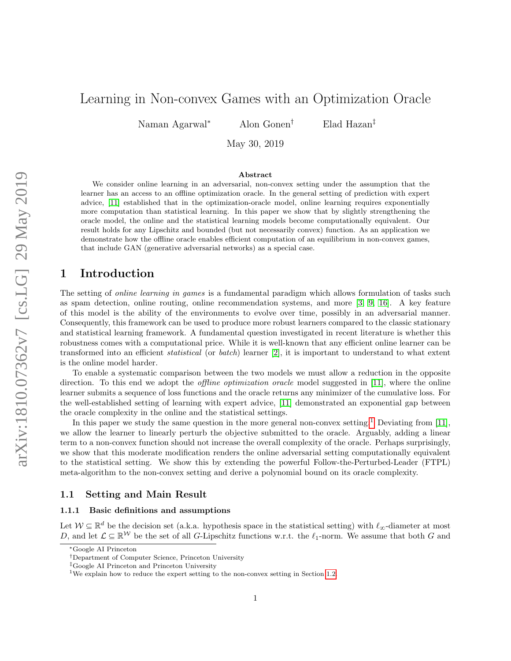# Learning in Non-convex Games with an Optimization Oracle

Naman Agarwal<sup>∗</sup> Alon Gonen† Elad Hazan‡

May 30, 2019

#### Abstract

We consider online learning in an adversarial, non-convex setting under the assumption that the learner has an access to an offline optimization oracle. In the general setting of prediction with expert advice, [\[11\]](#page-9-0) established that in the optimization-oracle model, online learning requires exponentially more computation than statistical learning. In this paper we show that by slightly strengthening the oracle model, the online and the statistical learning models become computationally equivalent. Our result holds for any Lipschitz and bounded (but not necessarily convex) function. As an application we demonstrate how the offline oracle enables efficient computation of an equilibrium in non-convex games, that include GAN (generative adversarial networks) as a special case.

## 1 Introduction

The setting of *online learning in games* is a fundamental paradigm which allows formulation of tasks such as spam detection, online routing, online recommendation systems, and more [\[3,](#page-8-0) [9,](#page-9-1) [16\]](#page-9-2). A key feature of this model is the ability of the environments to evolve over time, possibly in an adversarial manner. Consequently, this framework can be used to produce more robust learners compared to the classic stationary and statistical learning framework. A fundamental question investigated in recent literature is whether this robustness comes with a computational price. While it is well-known that any efficient online learner can be transformed into an efficient statistical (or batch) learner [\[2\]](#page-8-1), it is important to understand to what extent is the online model harder.

To enable a systematic comparison between the two models we must allow a reduction in the opposite direction. To this end we adopt the *offline optimization oracle* model suggested in [\[11\]](#page-9-0), where the online learner submits a sequence of loss functions and the oracle returns any minimizer of the cumulative loss. For the well-established setting of learning with expert advice, [\[11\]](#page-9-0) demonstrated an exponential gap between the oracle complexity in the online and the statistical settings.

In this paper we study the same question in the more general non-convex setting.<sup>[1](#page-0-0)</sup> Deviating from  $[11]$ we allow the learner to linearly perturb the objective submitted to the oracle. Arguably, adding a linear term to a non-convex function should not increase the overall complexity of the oracle. Perhaps surprisingly, we show that this moderate modification renders the online adversarial setting computationally equivalent to the statistical setting. We show this by extending the powerful Follow-the-Perturbed-Leader (FTPL) meta-algorithm to the non-convex setting and derive a polynomial bound on its oracle complexity.

#### 1.1 Setting and Main Result

#### 1.1.1 Basic definitions and assumptions

Let  $W \subseteq \mathbb{R}^d$  be the decision set (a.k.a. hypothesis space in the statistical setting) with  $\ell_\infty$ -diameter at most D, and let  $\mathcal{L} \subseteq \mathbb{R}^{\mathcal{W}}$  be the set of all G-Lipschitz functions w.r.t. the  $\ell_1$ -norm. We assume that both G and

<sup>∗</sup>Google AI Princeton

<sup>†</sup>Department of Computer Science, Princeton University

<sup>‡</sup>Google AI Princeton and Princeton University

<span id="page-0-0"></span><sup>&</sup>lt;sup>1</sup>We explain how to reduce the expert setting to the non-convex setting in Section [1.2.](#page-2-0)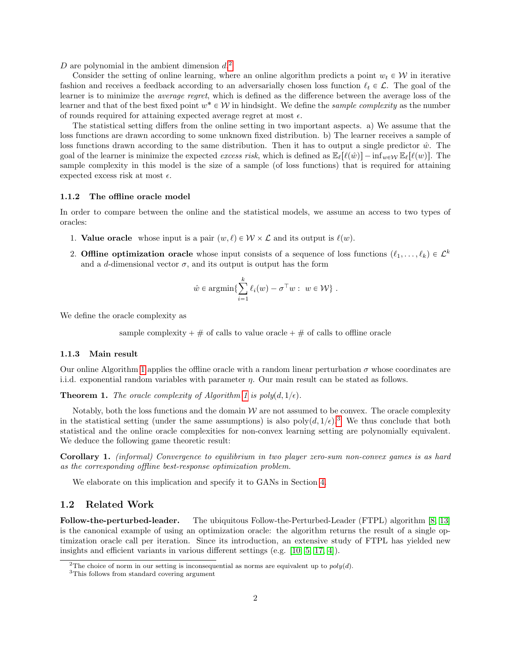D are polynomial in the ambient dimension  $d<sup>2</sup>$  $d<sup>2</sup>$  $d<sup>2</sup>$ .

Consider the setting of online learning, where an online algorithm predicts a point  $w_t \in \mathcal{W}$  in iterative fashion and receives a feedback according to an adversarially chosen loss function  $\ell_t \in \mathcal{L}$ . The goal of the learner is to minimize the average regret, which is defined as the difference between the average loss of the learner and that of the best fixed point  $w^* \in \mathcal{W}$  in hindsight. We define the sample complexity as the number of rounds required for attaining expected average regret at most  $\epsilon$ .

The statistical setting differs from the online setting in two important aspects. a) We assume that the loss functions are drawn according to some unknown fixed distribution. b) The learner receives a sample of loss functions drawn according to the same distribution. Then it has to output a single predictor  $\hat{w}$ . The goal of the learner is minimize the expected excess risk, which is defined as  $\mathbb{E}_{\ell}[\ell(\hat{w})] - \inf_{w \in \mathcal{W}} \mathbb{E}_{\ell}[\ell(w)]$ . The sample complexity in this model is the size of a sample (of loss functions) that is required for attaining expected excess risk at most  $\epsilon$ .

#### 1.1.2 The offline oracle model

In order to compare between the online and the statistical models, we assume an access to two types of oracles:

- 1. Value oracle whose input is a pair  $(w, \ell) \in \mathcal{W} \times \mathcal{L}$  and its output is  $\ell(w)$ .
- 2. Offline optimization oracle whose input consists of a sequence of loss functions  $(\ell_1, \ldots, \ell_k) \in \mathcal{L}^k$ and a d-dimensional vector  $\sigma$ , and its output is output has the form

$$
\hat{w} \in \operatorname{argmin} \{ \sum_{i=1}^{k} \ell_i(w) - \sigma^{\top} w : w \in \mathcal{W} \}.
$$

We define the oracle complexity as

sample complexity  $+ \#$  of calls to value oracle  $+ \#$  of calls to offline oracle

#### 1.1.3 Main result

Our online Algorithm [1](#page-4-0) applies the offline oracle with a random linear perturbation  $\sigma$  whose coordinates are i.i.d. exponential random variables with parameter  $\eta$ . Our main result can be stated as follows.

<span id="page-1-2"></span>**Theorem [1](#page-4-0).** The oracle complexity of Algorithm 1 is  $poly(d, 1/\epsilon)$ .

Notably, both the loss functions and the domain  $W$  are not assumed to be convex. The oracle complexity in the statistical setting (under the same assumptions) is also  $poly(d, 1/\epsilon)$ .<sup>[3](#page-1-1)</sup> We thus conclude that both statistical and the online oracle complexities for non-convex learning setting are polynomially equivalent. We deduce the following game theoretic result:

Corollary 1. (informal) Convergence to equilibrium in two player zero-sum non-convex games is as hard as the corresponding offline best-response optimization problem.

We elaborate on this implication and specify it to GANs in Section [4.](#page-7-0)

### 1.2 Related Work

Follow-the-perturbed-leader. The ubiquitous Follow-the-Perturbed-Leader (FTPL) algorithm [\[8,](#page-9-3) [13\]](#page-9-4) is the canonical example of using an optimization oracle: the algorithm returns the result of a single optimization oracle call per iteration. Since its introduction, an extensive study of FTPL has yielded new insights and efficient variants in various different settings (e.g. [\[10,](#page-9-5) [5,](#page-8-2) [17,](#page-9-6) [4\]](#page-8-3)).

<span id="page-1-0"></span><sup>&</sup>lt;sup>2</sup>The choice of norm in our setting is inconsequential as norms are equivalent up to  $poly(d)$ .

<span id="page-1-1"></span><sup>3</sup>This follows from standard covering argument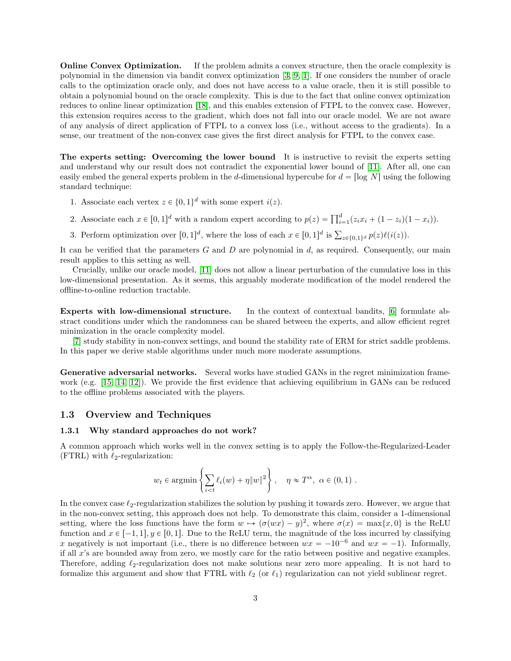**Online Convex Optimization.** If the problem admits a convex structure, then the oracle complexity is polynomial in the dimension via bandit convex optimization [\[3,](#page-8-0) [9,](#page-9-1) [1\]](#page-8-4). If one considers the number of oracle calls to the optimization oracle only, and does not have access to a value oracle, then it is still possible to obtain a polynomial bound on the oracle complexity. This is due to the fact that online convex optimization reduces to online linear optimization [\[18\]](#page-9-7), and this enables extension of FTPL to the convex case. However, this extension requires access to the gradient, which does not fall into our oracle model. We are not aware of any analysis of direct application of FTPL to a convex loss (i.e., without access to the gradients). In a sense, our treatment of the non-convex case gives the first direct analysis for FTPL to the convex case.

<span id="page-2-0"></span>The experts setting: Overcoming the lower bound It is instructive to revisit the experts setting and understand why our result does not contradict the exponential lower bound of [\[11\]](#page-9-0). After all, one can easily embed the general experts problem in the d-dimensional hypercube for  $d = \lceil \log N \rceil$  using the following standard technique:

- 1. Associate each vertex  $z \in \{0, 1\}^d$  with some expert  $i(z)$ .
- 2. Associate each  $x \in [0, 1]^d$  with a random expert according to  $p(z) = \prod_{i=1}^d (z_i x_i + (1 z_i)(1 x_i)).$
- 3. Perform optimization over  $[0, 1]^d$ , where the loss of each  $x \in [0, 1]^d$  is  $\sum_{z \in \{0, 1\}^d} p(z) \ell(i(z))$ .

It can be verified that the parameters  $G$  and  $D$  are polynomial in  $d$ , as required. Consequently, our main result applies to this setting as well.

Crucially, unlike our oracle model, [\[11\]](#page-9-0) does not allow a linear perturbation of the cumulative loss in this low-dimensional presentation. As it seems, this arguably moderate modification of the model rendered the offline-to-online reduction tractable.

Experts with low-dimensional structure. In the context of contextual bandits, [\[6\]](#page-8-5) formulate abstract conditions under which the randomness can be shared between the experts, and allow efficient regret minimization in the oracle complexity model.

[\[7\]](#page-8-6) study stability in non-convex settings, and bound the stability rate of ERM for strict saddle problems. In this paper we derive stable algorithms under much more moderate assumptions.

Generative adversarial networks. Several works have studied GANs in the regret minimization framework (e.g. [\[15,](#page-9-8) [14,](#page-9-9) [12\]](#page-9-10)). We provide the first evidence that achieving equilibrium in GANs can be reduced to the offline problems associated with the players.

### 1.3 Overview and Techniques

#### 1.3.1 Why standard approaches do not work?

A common approach which works well in the convex setting is to apply the Follow-the-Regularized-Leader (FTRL) with  $\ell_2$ -regularization:

$$
w_t \in \operatorname{argmin}\left\{\sum_{i \le t} \ell_i(w) + \eta ||w||^2\right\}, \quad \eta \approx T^{\alpha}, \alpha \in (0,1).
$$

In the convex case  $\ell_2$ -regularization stabilizes the solution by pushing it towards zero. However, we argue that in the non-convex setting, this approach does not help. To demonstrate this claim, consider a 1-dimensional setting, where the loss functions have the form  $w \mapsto (\sigma(wx) - y)^2$ , where  $\sigma(x) = \max\{x, 0\}$  is the ReLU function and  $x \in [-1, 1], y \in [0, 1]$ . Due to the ReLU term, the magnitude of the loss incurred by classifying x negatively is not important (i.e., there is no difference between  $wx = -10^{-6}$  and  $wx = -1$ ). Informally, if all x's are bounded away from zero, we mostly care for the ratio between positive and negative examples. Therefore, adding  $\ell_2$ -regularization does not make solutions near zero more appealing. It is not hard to formalize this argument and show that FTRL with  $\ell_2$  (or  $\ell_1$ ) regularization can not yield sublinear regret.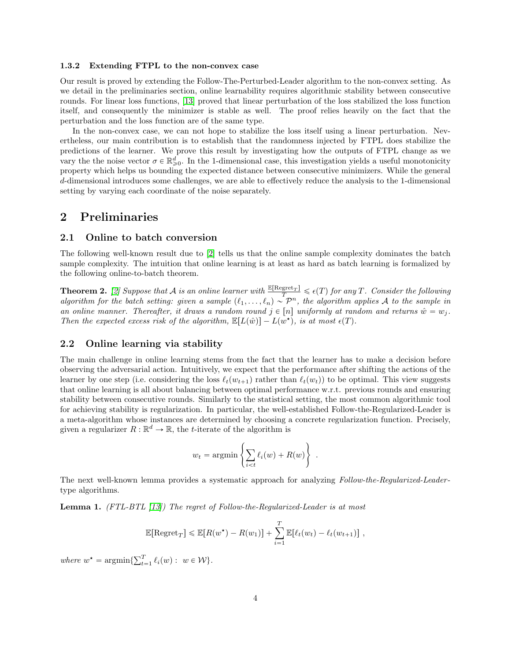#### 1.3.2 Extending FTPL to the non-convex case

Our result is proved by extending the Follow-The-Perturbed-Leader algorithm to the non-convex setting. As we detail in the preliminaries section, online learnability requires algorithmic stability between consecutive rounds. For linear loss functions, [\[13\]](#page-9-4) proved that linear perturbation of the loss stabilized the loss function itself, and consequently the minimizer is stable as well. The proof relies heavily on the fact that the perturbation and the loss function are of the same type.

In the non-convex case, we can not hope to stabilize the loss itself using a linear perturbation. Nevertheless, our main contribution is to establish that the randomness injected by FTPL does stabilize the predictions of the learner. We prove this result by investigating how the outputs of FTPL change as we vary the the noise vector  $\sigma \in \mathbb{R}^d_{\geq 0}$ . In the 1-dimensional case, this investigation yields a useful monotonicity property which helps us bounding the expected distance between consecutive minimizers. While the general d-dimensional introduces some challenges, we are able to effectively reduce the analysis to the 1-dimensional setting by varying each coordinate of the noise separately.

### 2 Preliminaries

### 2.1 Online to batch conversion

The following well-known result due to [\[2\]](#page-8-1) tells us that the online sample complexity dominates the batch sample complexity. The intuition that online learning is at least as hard as batch learning is formalized by the following online-to-batch theorem.

**Theorem 2.** [\[2\]](#page-8-1) Suppose that A is an online learner with  $\frac{\mathbb{E}[\text{Regret}_T]}{T} \leq \epsilon(T)$  for any T. Consider the following algorithm for the batch setting: given a sample  $(\ell_1, \ldots, \ell_n) \sim \mathcal{P}^n$ , the algorithm applies A to the sample in an online manner. Thereafter, it draws a random round  $j \in [n]$  uniformly at random and returns  $\hat{w} = w_j$ . Then the expected excess risk of the algorithm,  $\mathbb{E}[L(\hat{w})] - L(\hat{w}^{\star})$ , is at most  $\epsilon(T)$ .

### 2.2 Online learning via stability

The main challenge in online learning stems from the fact that the learner has to make a decision before observing the adversarial action. Intuitively, we expect that the performance after shifting the actions of the learner by one step (i.e. considering the loss  $\ell_t(w_{t+1})$  rather than  $\ell_t(w_t)$ ) to be optimal. This view suggests that online learning is all about balancing between optimal performance w.r.t. previous rounds and ensuring stability between consecutive rounds. Similarly to the statistical setting, the most common algorithmic tool for achieving stability is regularization. In particular, the well-established Follow-the-Regularized-Leader is a meta-algorithm whose instances are determined by choosing a concrete regularization function. Precisely, given a regularizer  $R : \mathbb{R}^d \to \mathbb{R}$ , the t-iterate of the algorithm is

$$
w_t = \operatorname{argmin}\left\{\sum_{i
$$

The next well-known lemma provides a systematic approach for analyzing Follow-the-Regularized-Leadertype algorithms.

<span id="page-3-0"></span>Lemma 1. (FTL-BTL [\[13\]](#page-9-4)) The regret of Follow-the-Regularized-Leader is at most

$$
\mathbb{E}[\text{Regret}_T] \leq \mathbb{E}[R(w^*) - R(w_1)] + \sum_{i=1}^T \mathbb{E}[\ell_t(w_t) - \ell_t(w_{t+1})],
$$

where  $w^* = \operatorname{argmin} \{ \sum_{t=1}^T w_t \}$  $_{t=1}^{T} \ell_i(w) : w \in W$ .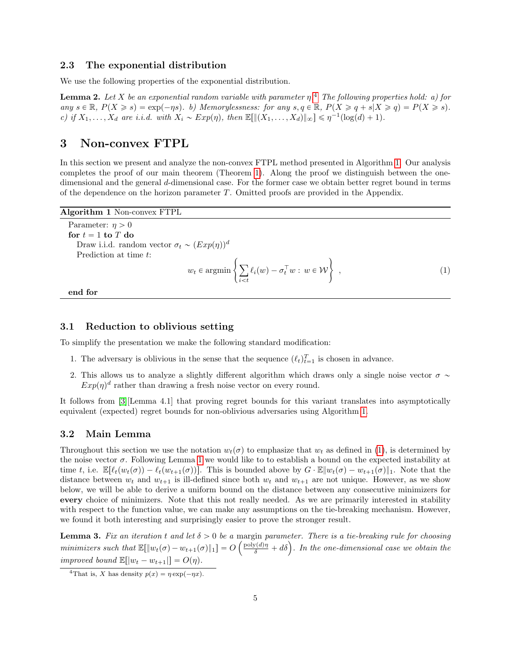#### 2.3 The exponential distribution

We use the following properties of the exponential distribution.

**Lemma 2.** Let X be an exponential random variable with parameter  $\eta$ .<sup>[4](#page-4-1)</sup> The following properties hold: a) for any  $s \in \mathbb{R}$ ,  $P(X \geq s) = \exp(-\eta s)$ . b) Memorylessness: for any  $s, q \in \mathbb{R}$ ,  $P(X \geq q + s | X \geq q) = P(X \geq s)$ . c) if  $X_1, \ldots, X_d$  are i.i.d. with  $X_i \sim Exp(\eta)$ , then  $\mathbb{E}[\|(X_1, \ldots, X_d)\|_{\infty}] \leq \eta^{-1}(\log(d) + 1)$ .

## 3 Non-convex FTPL

In this section we present and analyze the non-convex FTPL method presented in Algorithm [1.](#page-4-0) Our analysis completes the proof of our main theorem (Theorem [1\)](#page-1-2). Along the proof we distinguish between the onedimensional and the general d-dimensional case. For the former case we obtain better regret bound in terms of the dependence on the horizon parameter T. Omitted proofs are provided in the Appendix.

<span id="page-4-0"></span>Algorithm 1 Non-convex FTPL

Parameter:  $\eta > 0$ for  $t = 1$  to  $T$  do Draw i.i.d. random vector  $\sigma_t \sim (Exp(\eta))^d$ Prediction at time t:  $w_t \in \operatorname{argmin} \left\{ \sum_{i=1}^{n} \sigma_i \right\}$  $\ell_i(w) - \sigma_t^{\top} w : w \in \mathcal{W}$  $\frac{1}{2}$  $,$  (1)

<span id="page-4-2"></span> $i< t$ 

end for

#### 3.1 Reduction to oblivious setting

To simplify the presentation we make the following standard modification:

- 1. The adversary is oblivious in the sense that the sequence  $(\ell_t)_{t=1}^T$  is chosen in advance.
- 2. This allows us to analyze a slightly different algorithm which draws only a single noise vector  $\sigma \sim$  $Exp(\eta)^d$  rather than drawing a fresh noise vector on every round.

It follows from [\[3\]](#page-8-0)[Lemma 4.1] that proving regret bounds for this variant translates into asymptotically equivalent (expected) regret bounds for non-oblivious adversaries using Algorithm [1.](#page-4-0)

### 3.2 Main Lemma

Throughout this section we use the notation  $w_t(\sigma)$  to emphasize that  $w_t$  as defined in [\(1\)](#page-4-2), is determined by the noise vector  $\sigma$ . Following Lemma [1](#page-3-0) we would like to to establish a bound on the expected instability at time t, i.e.  $\mathbb{E}[\ell_t(w_t(\sigma)) - \ell_t(w_{t+1}(\sigma))]$ . This is bounded above by  $G \cdot \mathbb{E}[w_t(\sigma) - w_{t+1}(\sigma)]_1$ . Note that the distance between  $w_t$  and  $w_{t+1}$  is ill-defined since both  $w_t$  and  $w_{t+1}$  are not unique. However, as we show below, we will be able to derive a uniform bound on the distance between any consecutive minimizers for every choice of minimizers. Note that this not really needed. As we are primarily interested in stability with respect to the function value, we can make any assumptions on the tie-breaking mechanism. However, we found it both interesting and surprisingly easier to prove the stronger result.

<span id="page-4-3"></span>**Lemma 3.** Fix an iteration t and let  $\delta > 0$  be a margin parameter. There is a tie-breaking rule for choosing **Lemma 3.** Fix an iteration t and let  $\delta > 0$  be a margin parameter. There is a tie-breaking rule for choosing minimizers such that  $\mathbb{E}[\Vert w_t(\sigma) - w_{t+1}(\sigma) \Vert_1] = O\left(\frac{\text{poly}(d)\eta}{\delta} + d\delta\right)$ . In the one-dimensional case we o improved bound  $\mathbb{E}[|w_t - w_{t+1}|] = O(\eta)$ .

<span id="page-4-1"></span><sup>&</sup>lt;sup>4</sup>That is, X has density  $p(x) = \eta \exp(-\eta x)$ .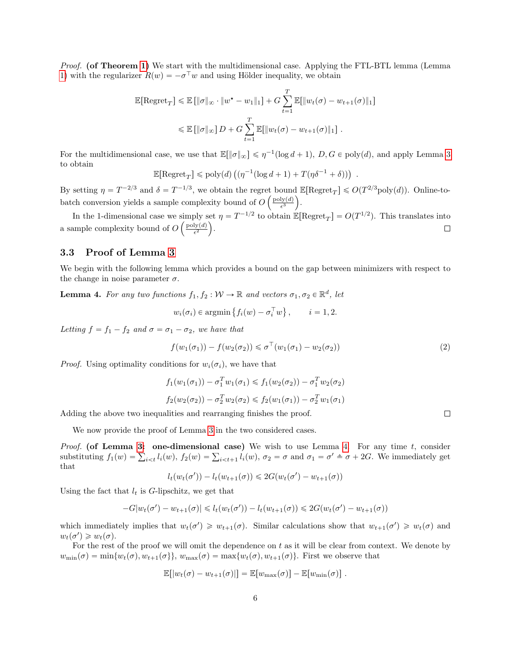Proof. (of Theorem [1\)](#page-1-2) We start with the multidimensional case. Applying the FTL-BTL lemma (Lemma) [1\)](#page-3-0) with the regularizer  $R(w) = -\sigma^{\top}w$  and using Hölder inequality, we obtain

$$
\mathbb{E}[\text{Regret}_{T}] \le \mathbb{E} [\|\sigma\|_{\infty} \cdot \|w^* - w_1\|_1] + G \sum_{t=1}^{T} \mathbb{E}[\|w_t(\sigma) - w_{t+1}(\sigma)\|_1]
$$
  

$$
\le \mathbb{E} [\|\sigma\|_{\infty}] D + G \sum_{t=1}^{T} \mathbb{E}[\|w_t(\sigma) - w_{t+1}(\sigma)\|_1].
$$

For the multidimensional case, we use that  $\mathbb{E}[\|\sigma\|_{\infty}] \leq \eta^{-1}(\log d + 1)$ ,  $D, G \in \text{poly}(d)$ , and apply Lemma [3](#page-4-3) to obtain

$$
\mathbb{E}[\text{Regret}_T] \leqslant \text{poly}(d) \left( (\eta^{-1} (\log d + 1) + T (\eta \delta^{-1} + \delta)) \right)
$$

By setting  $\eta = T^{-2/3}$  and  $\delta = T^{-1/3}$ , we obtain the regret bound  $\mathbb{E}[\text{Regret}_T] \leq O(T^{2/3} \text{poly}(d))$ . Online-tobatch conversion yields a sample complexity bound of  $O\left(\frac{\text{poly}(d)}{\epsilon^3}\right)$ .

In the 1-dimensional case we simply set  $\eta = T^{-1/2}$  to obtain  $\mathbb{E}[\text{Regret}_T] = O(T^{1/2})$ . This translates into a sample complexity bound of  $O\left(\frac{\text{poly}(d)}{\epsilon^2}\right)$ .  $\Box$ 

### 3.3 Proof of Lemma [3](#page-4-3)

We begin with the following lemma which provides a bound on the gap between minimizers with respect to the change in noise parameter  $\sigma$ .

<span id="page-5-0"></span>**Lemma 4.** For any two functions  $f_1, f_2 : \mathcal{W} \to \mathbb{R}$  and vectors  $\sigma_1, \sigma_2 \in \mathbb{R}^d$ , let

$$
w_i(\sigma_i) \in \operatorname{argmin} \{ f_i(w) - \sigma_i^{\top} w \}, \qquad i = 1, 2.
$$

Letting  $f = f_1 - f_2$  and  $\sigma = \sigma_1 - \sigma_2$ , we have that

$$
f(w_1(\sigma_1)) - f(w_2(\sigma_2)) \leq \sigma^{\top}(w_1(\sigma_1) - w_2(\sigma_2))
$$
\n<sup>(2)</sup>

.

*Proof.* Using optimality conditions for  $w_i(\sigma_i)$ , we have that

$$
f_1(w_1(\sigma_1)) - \sigma_1^T w_1(\sigma_1) \le f_1(w_2(\sigma_2)) - \sigma_1^T w_2(\sigma_2)
$$
  

$$
f_2(w_2(\sigma_2)) - \sigma_2^T w_2(\sigma_2) \le f_2(w_1(\sigma_1)) - \sigma_2^T w_1(\sigma_1)
$$

Adding the above two inequalities and rearranging finishes the proof.

We now provide the proof of Lemma [3](#page-4-3) in the two considered cases.

*Proof.* (of Lemma [3:](#page-4-3) one-dimensional case) We wish to use Lemma [4.](#page-5-0) For any time t, consider *Proof.* (of Lemma 3: one-dimensional case) We wish to use Lemma 4. For any time t, consider substituting  $f_1(w) = \sum_{i \le t} l_i(w)$ ,  $f_2(w) = \sum_{i \le t+1} l_i(w)$ ,  $\sigma_2 = \sigma$  and  $\sigma_1 = \sigma' \triangleq \sigma + 2G$ . We immediately get that

$$
l_t(w_t(\sigma')) - l_t(w_{t+1}(\sigma)) \leq 2G(w_t(\sigma') - w_{t+1}(\sigma))
$$

Using the fact that  $l_t$  is G-lipschitz, we get that

$$
-G|w_t(\sigma') - w_{t+1}(\sigma)| \leq l_t(w_t(\sigma')) - l_t(w_{t+1}(\sigma)) \leq 2G(w_t(\sigma') - w_{t+1}(\sigma))
$$

which immediately implies that  $w_t(\sigma') \geq w_{t+1}(\sigma)$ . Similar calculations show that  $w_{t+1}(\sigma') \geq w_t(\sigma)$  and  $w_t(\sigma') \geq w_t(\sigma)$ .

For the rest of the proof we will omit the dependence on  $t$  as it will be clear from context. We denote by  $w_{\min}(\sigma) = \min\{w_t(\sigma), w_{t+1}(\sigma)\}, w_{\max}(\sigma) = \max\{w_t(\sigma), w_{t+1}(\sigma)\}.$  First we observe that

$$
\mathbb{E}[|w_t(\sigma) - w_{t+1}(\sigma)|] = \mathbb{E}[w_{\max}(\sigma)] - \mathbb{E}[w_{\min}(\sigma)].
$$

 $\Box$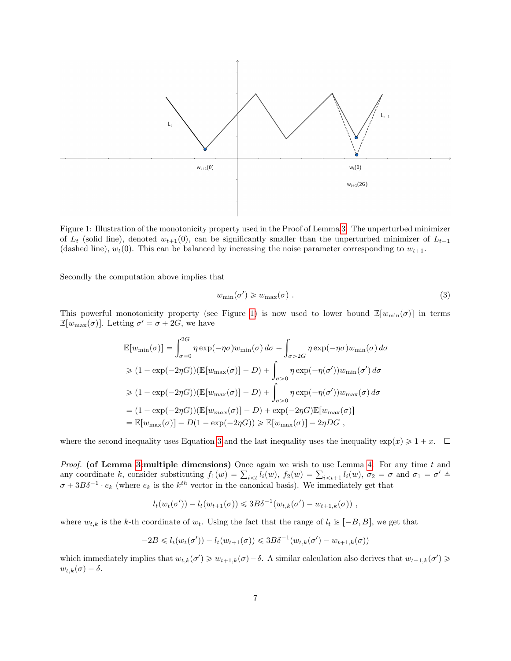<span id="page-6-0"></span>

Figure 1: Illustration of the monotonicity property used in the Proof of Lemma [3:](#page-4-3) The unperturbed minimizer of  $L_t$  (solid line), denoted  $w_{t+1}(0)$ , can be significantly smaller than the unperturbed minimizer of  $L_{t-1}$ (dashed line),  $w_t(0)$ . This can be balanced by increasing the noise parameter corresponding to  $w_{t+1}$ .

Secondly the computation above implies that

<span id="page-6-1"></span>
$$
w_{\min}(\sigma') \geq w_{\max}(\sigma) \tag{3}
$$

This powerful monotonicity property (see Figure [1\)](#page-6-0) is now used to lower bound  $\mathbb{E}[w_{\min}(\sigma)]$  in terms  $\mathbb{E}[w_{\text{max}}(\sigma)]$ . Letting  $\sigma' = \sigma + 2G$ , we have

$$
\mathbb{E}[w_{\min}(\sigma)] = \int_{\sigma=0}^{2G} \eta \exp(-\eta \sigma) w_{\min}(\sigma) d\sigma + \int_{\sigma > 2G} \eta \exp(-\eta \sigma) w_{\min}(\sigma) d\sigma
$$
  
\n
$$
\geq (1 - \exp(-2\eta G)) (\mathbb{E}[w_{\max}(\sigma)] - D) + \int_{\sigma > 0} \eta \exp(-\eta(\sigma')) w_{\min}(\sigma') d\sigma
$$
  
\n
$$
\geq (1 - \exp(-2\eta G)) (\mathbb{E}[w_{\max}(\sigma)] - D) + \int_{\sigma > 0} \eta \exp(-\eta(\sigma')) w_{\max}(\sigma) d\sigma
$$
  
\n
$$
= (1 - \exp(-2\eta G)) (\mathbb{E}[w_{\max}(\sigma)] - D) + \exp(-2\eta G) \mathbb{E}[w_{\max}(\sigma)]
$$
  
\n
$$
= \mathbb{E}[w_{\max}(\sigma)] - D(1 - \exp(-2\eta G)) \geq \mathbb{E}[w_{\max}(\sigma)] - 2\eta DG,
$$

where the second inequality uses Equation [3](#page-6-1) and the last inequality uses the inequality  $\exp(x) \geq 1 + x$ .  $\Box$ 

*Proof.* (of Lemma [3:](#page-4-3) multiple dimensions) Once again we wish to use Lemma [4.](#page-5-0) For any time t and *Proof.* (of Lemma 3:multiple dimensions) Once again we wish to use Lemma 4. For any time t and any coordinate k, consider substituting  $f_1(w) = \sum_{i \le t} l_i(w)$ ,  $f_2(w) = \sum_{i \le t+1} l_i(w)$ ,  $\sigma_2 = \sigma$  and  $\sigma_1 = \sigma' \triangleq$  $\sigma + 3B\delta^{-1} \cdot e_k$  (where  $e_k$  is the  $k^{th}$  vector in the canonical basis). We immediately get that

$$
l_t(w_t(\sigma')) - l_t(w_{t+1}(\sigma)) \leq 3B\delta^{-1}(w_{t,k}(\sigma') - w_{t+1,k}(\sigma)),
$$

where  $w_{t,k}$  is the k-th coordinate of  $w_t$ . Using the fact that the range of  $l_t$  is  $[-B, B]$ , we get that

$$
-2B \le l_t(w_t(\sigma')) - l_t(w_{t+1}(\sigma)) \le 3B\delta^{-1}(w_{t,k}(\sigma') - w_{t+1,k}(\sigma))
$$

which immediately implies that  $w_{t,k}(\sigma') \geq w_{t+1,k}(\sigma) - \delta$ . A similar calculation also derives that  $w_{t+1,k}(\sigma') \geq$  $w_{t,k}(\sigma) - \delta.$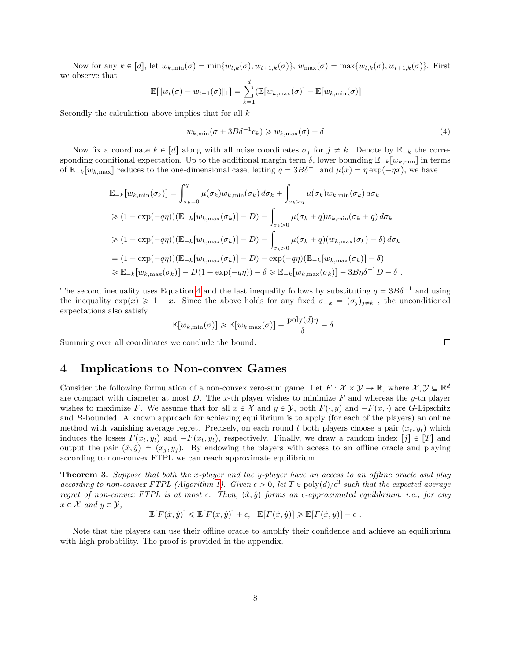Now for any  $k \in [d]$ , let  $w_{k,\min}(\sigma) = \min\{w_{t,k}(\sigma), w_{t+1,k}(\sigma)\}\$ ,  $w_{\max}(\sigma) = \max\{w_{t,k}(\sigma), w_{t+1,k}(\sigma)\}\$ . First we observe that

$$
\mathbb{E}[\|w_t(\sigma) - w_{t+1}(\sigma)\|_1] = \sum_{k=1}^d (\mathbb{E}[w_{k,\max}(\sigma)] - \mathbb{E}[w_{k,\min}(\sigma)]
$$

Secondly the calculation above implies that for all  $k$ 

<span id="page-7-1"></span>
$$
w_{k,\min}(\sigma + 3B\delta^{-1}e_k) \geq w_{k,\max}(\sigma) - \delta
$$
\n<sup>(4)</sup>

Now fix a coordinate  $k \in [d]$  along with all noise coordinates  $\sigma_j$  for  $j \neq k$ . Denote by  $\mathbb{E}_{-k}$  the corresponding conditional expectation. Up to the additional margin term  $\delta$ , lower bounding  $\mathbb{E}_{-k}[w_{k,\text{min}}]$  in terms of  $\mathbb{E}_{-k}[w_{k,\text{max}}]$  reduces to the one-dimensional case; letting  $q = 3B\delta^{-1}$  and  $\mu(x) = \eta \exp(-\eta x)$ , we have

$$
\mathbb{E}_{-k}[w_{k,\min}(\sigma_k)] = \int_{\sigma_k=0}^q \mu(\sigma_k)w_{k,\min}(\sigma_k) d\sigma_k + \int_{\sigma_k>q} \mu(\sigma_k)w_{k,\min}(\sigma_k) d\sigma_k
$$
  
\n
$$
\geq (1 - \exp(-q\eta))(\mathbb{E}_{-k}[w_{k,\max}(\sigma_k)] - D) + \int_{\sigma_k>0} \mu(\sigma_k+q)w_{k,\min}(\sigma_k+q) d\sigma_k
$$
  
\n
$$
\geq (1 - \exp(-q\eta))(\mathbb{E}_{-k}[w_{k,\max}(\sigma_k)] - D) + \int_{\sigma_k>0} \mu(\sigma_k+q)(w_{k,\max}(\sigma_k) - \delta) d\sigma_k
$$
  
\n
$$
= (1 - \exp(-q\eta))(\mathbb{E}_{-k}[w_{k,\max}(\sigma_k)] - D) + \exp(-q\eta)(\mathbb{E}_{-k}[w_{k,\max}(\sigma_k)] - \delta)
$$
  
\n
$$
\geq \mathbb{E}_{-k}[w_{k,\max}(\sigma_k)] - D(1 - \exp(-q\eta)) - \delta \geq \mathbb{E}_{-k}[w_{k,\max}(\sigma_k)] - 3B\eta\delta^{-1}D - \delta.
$$

The second inequality uses Equation [4](#page-7-1) and the last inequality follows by substituting  $q = 3B\delta^{-1}$  and using the inequality  $\exp(x) \geq 1 + x$ . Since the above holds for any fixed  $\sigma_{-k} = (\sigma_j)_{j \neq k}$ , the unconditioned expectations also satisfy

$$
\mathbb{E}[w_{k,\min}(\sigma)] \ge \mathbb{E}[w_{k,\max}(\sigma)] - \frac{\text{poly}(d)\eta}{\delta} - \delta.
$$

Summing over all coordinates we conclude the bound.

## <span id="page-7-0"></span>4 Implications to Non-convex Games

Consider the following formulation of a non-convex zero-sum game. Let  $F: \mathcal{X} \times \mathcal{Y} \to \mathbb{R}$ , where  $\mathcal{X}, \mathcal{Y} \subseteq \mathbb{R}^d$ are compact with diameter at most  $D$ . The x-th player wishes to minimize  $F$  and whereas the y-th player wishes to maximize F. We assume that for all  $x \in \mathcal{X}$  and  $y \in \mathcal{Y}$ , both  $F(\cdot, y)$  and  $-F(x, \cdot)$  are G-Lipschitz and B-bounded. A known approach for achieving equilibrium is to apply (for each of the players) an online method with vanishing average regret. Precisely, on each round t both players choose a pair  $(x_t, y_t)$  which induces the losses  $F(x_t, y_t)$  and  $-F(x_t, y_t)$ , respectively. Finally, we draw a random index  $[j] \in [T]$  and output the pair  $(\hat{x}, \hat{y}) \triangleq (x_j, y_j)$ . By endowing the players with access to an offline oracle and playing according to non-convex FTPL we can reach approximate equilibrium.

<span id="page-7-2"></span>**Theorem 3.** Suppose that both the x-player and the y-player have an access to an offline oracle and play according to non-convex FTPL (Algorithm [1\)](#page-4-0). Given  $\epsilon > 0$ , let  $T \in poly(d)/\epsilon^3$  such that the expected average regret of non-convex FTPL is at most  $\epsilon$ . Then,  $(\hat{x}, \hat{y})$  forms an  $\epsilon$ -approximated equilibrium, i.e., for any  $x \in \mathcal{X}$  and  $y \in \mathcal{Y}$ ,

$$
\mathbb{E}[F(\hat{x}, \hat{y})] \le \mathbb{E}[F(x, \hat{y})] + \epsilon, \quad \mathbb{E}[F(\hat{x}, \hat{y})] \ge \mathbb{E}[F(\hat{x}, y)] - \epsilon.
$$

Note that the players can use their offline oracle to amplify their confidence and achieve an equilibrium with high probability. The proof is provided in the appendix.

 $\Box$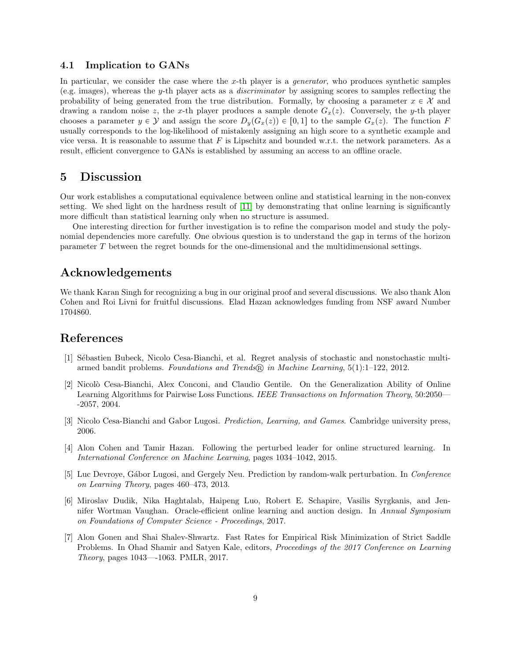### 4.1 Implication to GANs

In particular, we consider the case where the x-th player is a *generator*, who produces synthetic samples (e.g. images), whereas the y-th player acts as a discriminator by assigning scores to samples reflecting the probability of being generated from the true distribution. Formally, by choosing a parameter  $x \in \mathcal{X}$  and drawing a random noise z, the x-th player produces a sample denote  $G_x(z)$ . Conversely, the y-th player chooses a parameter  $y \in \mathcal{Y}$  and assign the score  $D_y(G_x(z)) \in [0, 1]$  to the sample  $G_x(z)$ . The function F usually corresponds to the log-likelihood of mistakenly assigning an high score to a synthetic example and vice versa. It is reasonable to assume that  $F$  is Lipschitz and bounded w.r.t. the network parameters. As a result, efficient convergence to GANs is established by assuming an access to an offline oracle.

## 5 Discussion

Our work establishes a computational equivalence between online and statistical learning in the non-convex setting. We shed light on the hardness result of [\[11\]](#page-9-0) by demonstrating that online learning is significantly more difficult than statistical learning only when no structure is assumed.

One interesting direction for further investigation is to refine the comparison model and study the polynomial dependencies more carefully. One obvious question is to understand the gap in terms of the horizon parameter T between the regret bounds for the one-dimensional and the multidimensional settings.

## Acknowledgements

We thank Karan Singh for recognizing a bug in our original proof and several discussions. We also thank Alon Cohen and Roi Livni for fruitful discussions. Elad Hazan acknowledges funding from NSF award Number 1704860.

## References

- <span id="page-8-4"></span>[1] S´ebastien Bubeck, Nicolo Cesa-Bianchi, et al. Regret analysis of stochastic and nonstochastic multiarmed bandit problems. Foundations and Trends <sup>R</sup> in Machine Learning, 5(1):1–122, 2012.
- <span id="page-8-1"></span>[2] Nicolò Cesa-Bianchi, Alex Conconi, and Claudio Gentile. On the Generalization Ability of Online Learning Algorithms for Pairwise Loss Functions. IEEE Transactions on Information Theory, 50:2050— -2057, 2004.
- <span id="page-8-0"></span>[3] Nicolo Cesa-Bianchi and Gabor Lugosi. Prediction, Learning, and Games. Cambridge university press, 2006.
- <span id="page-8-3"></span>[4] Alon Cohen and Tamir Hazan. Following the perturbed leader for online structured learning. In International Conference on Machine Learning, pages 1034–1042, 2015.
- <span id="page-8-2"></span>[5] Luc Devroye, Gábor Lugosi, and Gergely Neu. Prediction by random-walk perturbation. In Conference on Learning Theory, pages 460–473, 2013.
- <span id="page-8-5"></span>[6] Miroslav Dudik, Nika Haghtalab, Haipeng Luo, Robert E. Schapire, Vasilis Syrgkanis, and Jennifer Wortman Vaughan. Oracle-efficient online learning and auction design. In Annual Symposium on Foundations of Computer Science - Proceedings, 2017.
- <span id="page-8-6"></span>[7] Alon Gonen and Shai Shalev-Shwartz. Fast Rates for Empirical Risk Minimization of Strict Saddle Problems. In Ohad Shamir and Satyen Kale, editors, Proceedings of the 2017 Conference on Learning Theory, pages 1043—-1063. PMLR, 2017.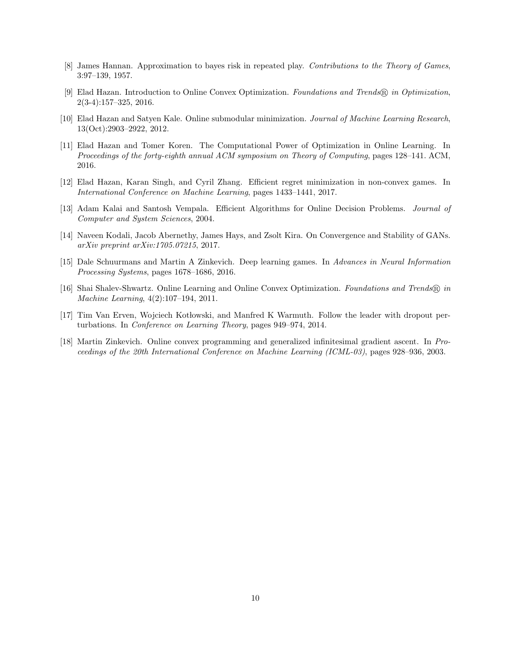- <span id="page-9-3"></span>[8] James Hannan. Approximation to bayes risk in repeated play. Contributions to the Theory of Games, 3:97–139, 1957.
- <span id="page-9-1"></span>[9] Elad Hazan. Introduction to Online Convex Optimization. Foundations and Trends® in Optimization, 2(3-4):157–325, 2016.
- <span id="page-9-5"></span>[10] Elad Hazan and Satyen Kale. Online submodular minimization. Journal of Machine Learning Research, 13(Oct):2903–2922, 2012.
- <span id="page-9-0"></span>[11] Elad Hazan and Tomer Koren. The Computational Power of Optimization in Online Learning. In Proceedings of the forty-eighth annual ACM symposium on Theory of Computing, pages 128–141. ACM, 2016.
- <span id="page-9-10"></span>[12] Elad Hazan, Karan Singh, and Cyril Zhang. Efficient regret minimization in non-convex games. In International Conference on Machine Learning, pages 1433–1441, 2017.
- <span id="page-9-4"></span>[13] Adam Kalai and Santosh Vempala. Efficient Algorithms for Online Decision Problems. Journal of Computer and System Sciences, 2004.
- <span id="page-9-9"></span>[14] Naveen Kodali, Jacob Abernethy, James Hays, and Zsolt Kira. On Convergence and Stability of GANs. arXiv preprint arXiv:1705.07215, 2017.
- <span id="page-9-8"></span>[15] Dale Schuurmans and Martin A Zinkevich. Deep learning games. In Advances in Neural Information Processing Systems, pages 1678–1686, 2016.
- <span id="page-9-2"></span>[16] Shai Shalev-Shwartz. Online Learning and Online Convex Optimization. Foundations and Trends® in Machine Learning, 4(2):107–194, 2011.
- <span id="page-9-6"></span>[17] Tim Van Erven, Wojciech Kotłowski, and Manfred K Warmuth. Follow the leader with dropout perturbations. In Conference on Learning Theory, pages 949–974, 2014.
- <span id="page-9-7"></span>[18] Martin Zinkevich. Online convex programming and generalized infinitesimal gradient ascent. In Proceedings of the 20th International Conference on Machine Learning (ICML-03), pages 928–936, 2003.